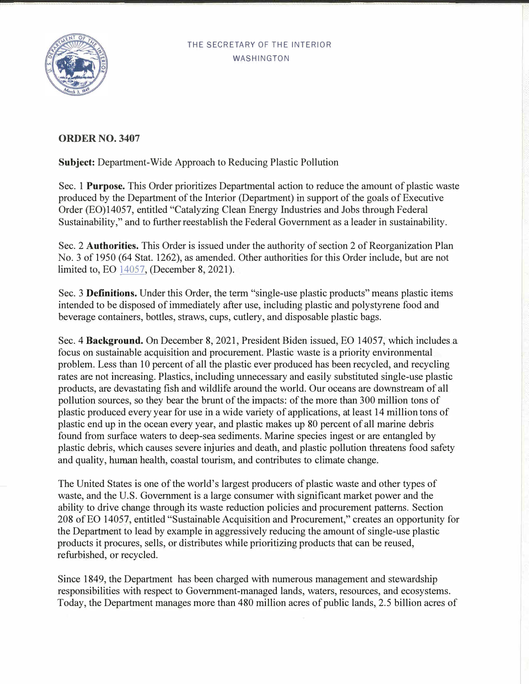## THE SECRETARY OF THE INTERIOR WASHINGTON



## **ORDER NO. 3407**

**Subject:** Department-Wide Approach to Reducing Plastic Pollution

Sec. 1 **Purpose.** This Order prioritizes Departmental action to reduce the amount of plastic waste produced by the Department of the Interior (Department) in support of the goals of Executive Order (EO)14057, entitled "Catalyzing Clean Energy Industries and Jobs through Federal Sustainability," and to further reestablish the Federal Government as a leader in sustainability.

Sec. 2 Authorities. This Order is issued under the authority of section 2 of Reorganization Plan No. 3 of 1950 (64 Stat. 1262), as amended. Other authorities for this Order include, but are not limited to, EO [14057,](https://www.whitehouse.gov/briefing-room/presidential-actions/2021/12/08/executive-order-on-catalyzing-clean-energy-industries-and-jobs-through-federal-sustainability/) (December 8, 2021).

Sec. 3 **Definitions.** Under this Order, the term "single-use plastic products" means plastic items intended to be disposed of immediately after use, including plastic and polystyrene food and beverage containers, bottles, straws, cups, cutlery, and disposable plastic bags.

Sec. 4 **Background.** On December 8, 2021, President Biden issued, EO 14057, which includes a focus on sustainable acquisition and procurement. Plastic waste is a priority environmental problem. Less than 10 percent of all the plastic ever produced has been recycled, and recycling rates are not increasing. Plastics, including unnecessary and easily substituted single-use plastic products, are devastating fish and wildlife around the world. Our oceans are downstream of all pollution sources, so they bear the brunt of the impacts: of the more than 300 million tons of plastic produced every year for use in a wide variety of applications, at least 14 million tons of plastic end up in the ocean every year, and plastic makes up 80 percent of all marine debris found from surface waters to deep-sea sediments. Marine species ingest or are entangled by plastic debris, which causes severe injuries and death, and plastic pollution threatens food safety and quality, human health, coastal tourism, and contributes to climate change.

The United States is one of the world's largest producers of plastic waste and other types of waste, and the U.S. Government is a large consumer with significant market power and the ability to drive change through its waste reduction policies and procurement patterns. Section 208 of EO 14057, entitled "Sustainable Acquisition and Procurement," creates an opportunity for the Department to lead by example in aggressively reducing the amount of single-use plastic products it procures, sells, or distributes while prioritizing products that can be reused, refurbished, or recycled.

Since 1849, the Department has been charged with numerous management and stewardship responsibilities with respect to Government-managed lands, waters, resources, and ecosystems. Today, the Department manages more than 480 million acres of public lands, 2.5 billion acres of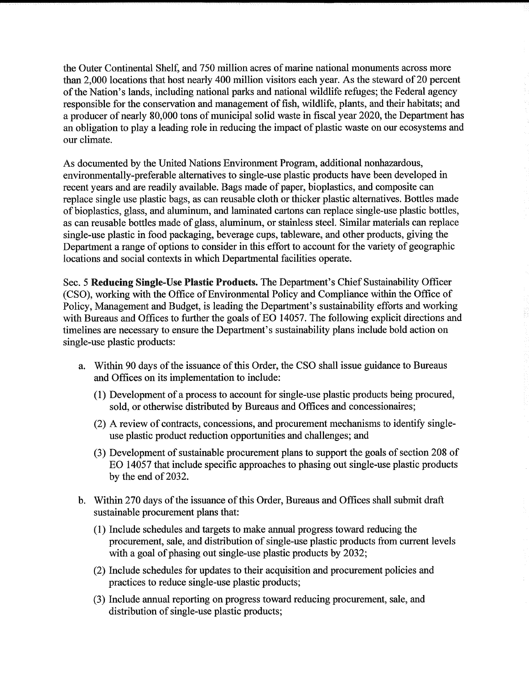the Outer Continental Shelf, and 750 million acres of marine national monuments across more than 2,000 locations that host nearly 400 million visitors each year. As the steward of 20 percent of the Nation's lands, including national parks and national wildlife refuges; the Federal agency responsible for the conservation and management of fish, wildlife, plants, and their habitats; and a producer of nearly 80,000 tons of municipal solid waste in fiscal year 2020, the Department has an obligation to play a leading role in reducing the impact of plastic waste on our ecosystems and our climate.

As documented by the United Nations Environment Program, additional nonhazardous, environmentally-preferable alternatives to single-use plastic products have been developed in recent years and are readily available. Bags made of paper, bioplastics, and composite can replace single use plastic bags, as can reusable cloth or thicker plastic alternatives. Bottles made of bioplastics, glass, and aluminum, and laminated cartons can replace single-use plastic bottles, as can reusable bottles made of glass, aluminum, or stainless steel. Similar materials can replace single-use plastic in food packaging, beverage cups, tableware, and other products, giving the Department a range of options to consider in this effort to account for the variety of geographic locations and social contexts in which Departmental facilities operate.

Sec. 5 Reducing Single-Use Plastic Products. The Department's Chief Sustainability Officer (CSO), working with the Office of Environmental Policy and Compliance within the Office of Policy, Management and Budget, is leading the Department's sustainability efforts and working with Bureaus and Offices to further the goals of EO 14057. The following explicit directions and timelines are necessary to ensure the Department's sustainability plans include bold action on single-use plastic products:

- a. Within 90 days of the issuance of this Order, the CSO shall issue guidance to Bureaus and Offices on its implementation to include:
	- (1) Development of a process to account for single-use plastic products being procured, sold, or otherwise distributed by Bureaus and Offices and concessionaires;
	- (2) A review of contracts, concessions, and procurement mechanisms to identify singleuse plastic product reduction opportunities and challenges; and
	- (3) Development of sustainable procurement plans to support the goals of section 208 of EO 14057 that include specific approaches to phasing out single-use plastic products by the end of 2032.
- b. Within 270 days of the issuance of this Order, Bureaus and Offices shall submit draft sustainable procurement plans that:
	- (1) Include schedules and targets to make annual progress toward reducing the procurement, sale, and distribution of single-use plastic products from current levels with a goal of phasing out single-use plastic products by 2032;
	- (2) Include schedules for updates to their acquisition and procurement policies and practices to reduce single-use plastic products;
	- (3) Include annual reporting on progress toward reducing procurement, sale, and distribution of single-use plastic products;